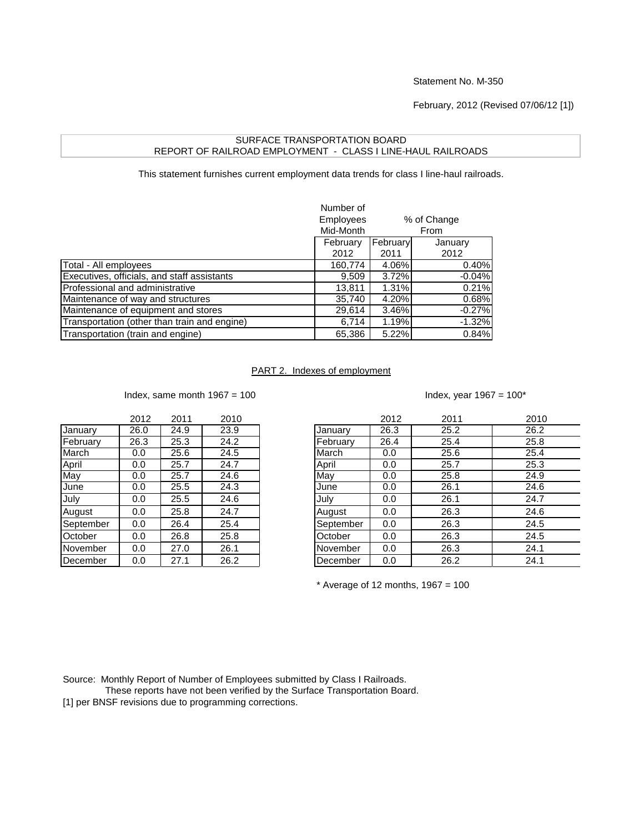Statement No. M-350

February, 2012 (Revised 07/06/12 [1])

## SURFACE TRANSPORTATION BOARD REPORT OF RAILROAD EMPLOYMENT - CLASS I LINE-HAUL RAILROADS

This statement furnishes current employment data trends for class I line-haul railroads.

|                                              | Number of<br><b>Employees</b><br>% of Change<br>Mid-Month<br>From |          |          |
|----------------------------------------------|-------------------------------------------------------------------|----------|----------|
|                                              | February                                                          | February | January  |
|                                              | 2012                                                              | 2011     | 2012     |
| Total - All employees                        | 160,774                                                           | 4.06%    | 0.40%    |
| Executives, officials, and staff assistants  | 9,509                                                             | 3.72%    | $-0.04%$ |
| Professional and administrative              | 13,811                                                            | 1.31%    | 0.21%    |
| Maintenance of way and structures            | 35,740                                                            | 4.20%    | 0.68%    |
| Maintenance of equipment and stores          | 29,614                                                            | 3.46%    | $-0.27%$ |
| Transportation (other than train and engine) | 6,714                                                             | 1.19%    | $-1.32%$ |
| Transportation (train and engine)            | 65,386                                                            | 5.22%    | 0.84%    |

## PART 2. Indexes of employment

Index, same month  $1967 = 100$ 

|           | 2012 | 2011 | 2010 |
|-----------|------|------|------|
| January   | 26.0 | 24.9 | 23.9 |
| February  | 26.3 | 25.3 | 24.2 |
| March     | 0.0  | 25.6 | 24.5 |
| April     | 0.0  | 25.7 | 24.7 |
| May       | 0.0  | 25.7 | 24.6 |
| June      | 0.0  | 25.5 | 24.3 |
| July      | 0.0  | 25.5 | 24.6 |
| August    | 0.0  | 25.8 | 24.7 |
| September | 0.0  | 26.4 | 25.4 |
| October   | 0.0  | 26.8 | 25.8 |
| November  | 0.0  | 27.0 | 26.1 |
| December  | 0.0  | 27.1 | 26.2 |

|  | Index, year 1967 = 100* |  |
|--|-------------------------|--|
|--|-------------------------|--|

|           | 2012 | 2011 | 2010 |           | 2012 | 2011 | 2010 |
|-----------|------|------|------|-----------|------|------|------|
| January   | 26.0 | 24.9 | 23.9 | January   | 26.3 | 25.2 | 26.2 |
| February  | 26.3 | 25.3 | 24.2 | February  | 26.4 | 25.4 | 25.8 |
| March     | 0.0  | 25.6 | 24.5 | March     | 0.0  | 25.6 | 25.4 |
| April     | 0.0  | 25.7 | 24.7 | April     | 0.0  | 25.7 | 25.3 |
| May       | 0.0  | 25.7 | 24.6 | May       | 0.0  | 25.8 | 24.9 |
| June      | 0.0  | 25.5 | 24.3 | June      | 0.0  | 26.1 | 24.6 |
| July      | 0.0  | 25.5 | 24.6 | July      | 0.0  | 26.1 | 24.7 |
| August    | 0.0  | 25.8 | 24.7 | August    | 0.0  | 26.3 | 24.6 |
| September | 0.0  | 26.4 | 25.4 | September | 0.0  | 26.3 | 24.5 |
| October   | 0.0  | 26.8 | 25.8 | October   | 0.0  | 26.3 | 24.5 |
| November  | 0.0  | 27.0 | 26.1 | November  | 0.0  | 26.3 | 24.1 |
| December  | 0.0  | 27.1 | 26.2 | December  | 0.0  | 26.2 | 24.1 |
|           |      |      |      |           |      |      |      |

 $*$  Average of 12 months, 1967 = 100

Source: Monthly Report of Number of Employees submitted by Class I Railroads.

These reports have not been verified by the Surface Transportation Board.

[1] per BNSF revisions due to programming corrections.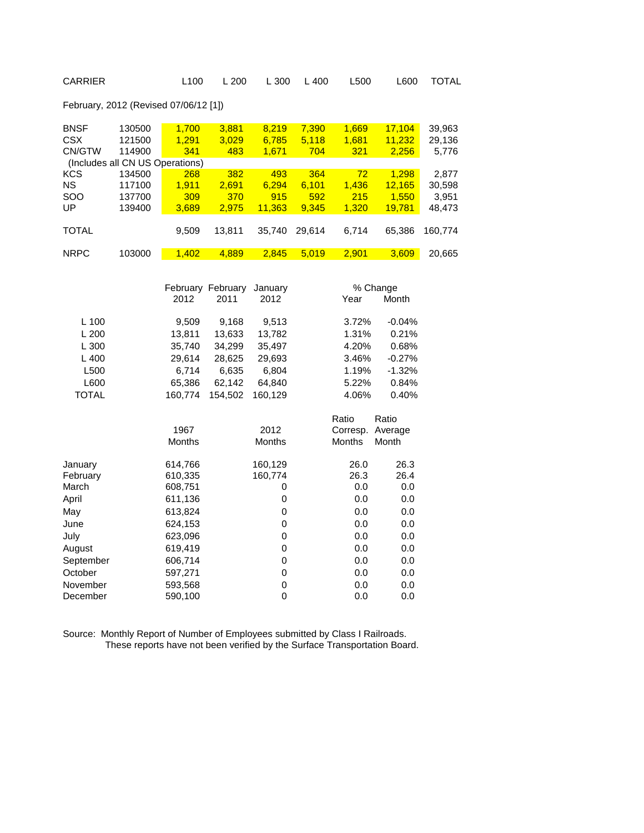| CARRIER                               |                                                               | L <sub>100</sub>                         | L 200                                        | L 300                              | L 400                        | L500                        | L600                                   | TOTAL                              |
|---------------------------------------|---------------------------------------------------------------|------------------------------------------|----------------------------------------------|------------------------------------|------------------------------|-----------------------------|----------------------------------------|------------------------------------|
| February, 2012 (Revised 07/06/12 [1]) |                                                               |                                          |                                              |                                    |                              |                             |                                        |                                    |
| <b>BNSF</b><br><b>CSX</b><br>CN/GTW   | 130500<br>121500<br>114900<br>(Includes all CN US Operations) | 1,700<br>1,291<br>341                    | 3,881<br>3,029<br>483                        | 8,219<br>6,785<br>1,671            | 7,390<br>5,118<br>704        | 1,669<br>1,681<br>321       | 17,104<br>11,232<br>2,256              | 39,963<br>29,136<br>5,776          |
| KCS<br><b>NS</b><br>SOO<br>UP         | 134500<br>117100<br>137700<br>139400                          | 268<br>1,911<br>309<br>3,689             | 382<br>2,691<br>370<br>2,975                 | 493<br>6,294<br>915<br>11,363      | 364<br>6,101<br>592<br>9,345 | 72<br>1,436<br>215<br>1,320 | 1,298<br>12,165<br>1,550<br>19,781     | 2,877<br>30,598<br>3,951<br>48,473 |
| TOTAL                                 |                                                               | 9,509                                    | 13,811                                       | 35,740                             | 29,614                       | 6,714                       | 65,386                                 | 160,774                            |
| <b>NRPC</b>                           | 103000                                                        | 1,402                                    | 4,889                                        | 2,845                              | 5,019                        | 2,901                       | 3,609                                  | 20,665                             |
| L 100<br>L 200                        |                                                               | 2012<br>9,509<br>13,811                  | February February<br>2011<br>9,168<br>13,633 | January<br>2012<br>9,513<br>13,782 |                              | Year<br>3.72%<br>1.31%      | % Change<br>Month<br>$-0.04%$<br>0.21% |                                    |
| L 300<br>L 400<br>L500                |                                                               | 35,740<br>29,614<br>6,714                | 34,299<br>28,625<br>6,635                    | 35,497<br>29,693<br>6,804          |                              | 4.20%<br>3.46%<br>1.19%     | 0.68%<br>$-0.27%$<br>$-1.32%$          |                                    |
| L600<br><b>TOTAL</b>                  |                                                               | 65,386<br>160,774                        | 62,142<br>154,502                            | 64,840<br>160,129                  |                              | 5.22%<br>4.06%              | 0.84%<br>0.40%                         |                                    |
|                                       |                                                               | 1967<br>Months                           |                                              | 2012<br>Months                     |                              | Ratio<br>Corresp.<br>Months | Ratio<br>Average<br>Month              |                                    |
| January<br>February<br>March<br>April |                                                               | 614,766<br>610,335<br>608,751<br>611,136 |                                              | 160,129<br>160,774<br>0<br>0       |                              | 26.0<br>26.3<br>0.0<br>0.0  | 26.3<br>26.4<br>0.0<br>0.0             |                                    |
| May<br>June<br>July                   |                                                               | 613,824<br>624,153<br>623,096            |                                              | 0<br>$\mathbf 0$<br>0              |                              | 0.0<br>0.0<br>0.0           | 0.0<br>0.0<br>0.0                      |                                    |
| August<br>September<br>October        |                                                               | 619,419<br>606,714<br>597,271            |                                              | $\mathbf 0$<br>0<br>$\mathbf 0$    |                              | 0.0<br>0.0<br>0.0           | 0.0<br>0.0<br>0.0                      |                                    |
| November<br>December                  |                                                               | 593,568<br>590,100                       |                                              | $\mathbf 0$<br>0                   |                              | 0.0<br>0.0                  | 0.0<br>0.0                             |                                    |

Source: Monthly Report of Number of Employees submitted by Class I Railroads. These reports have not been verified by the Surface Transportation Board.